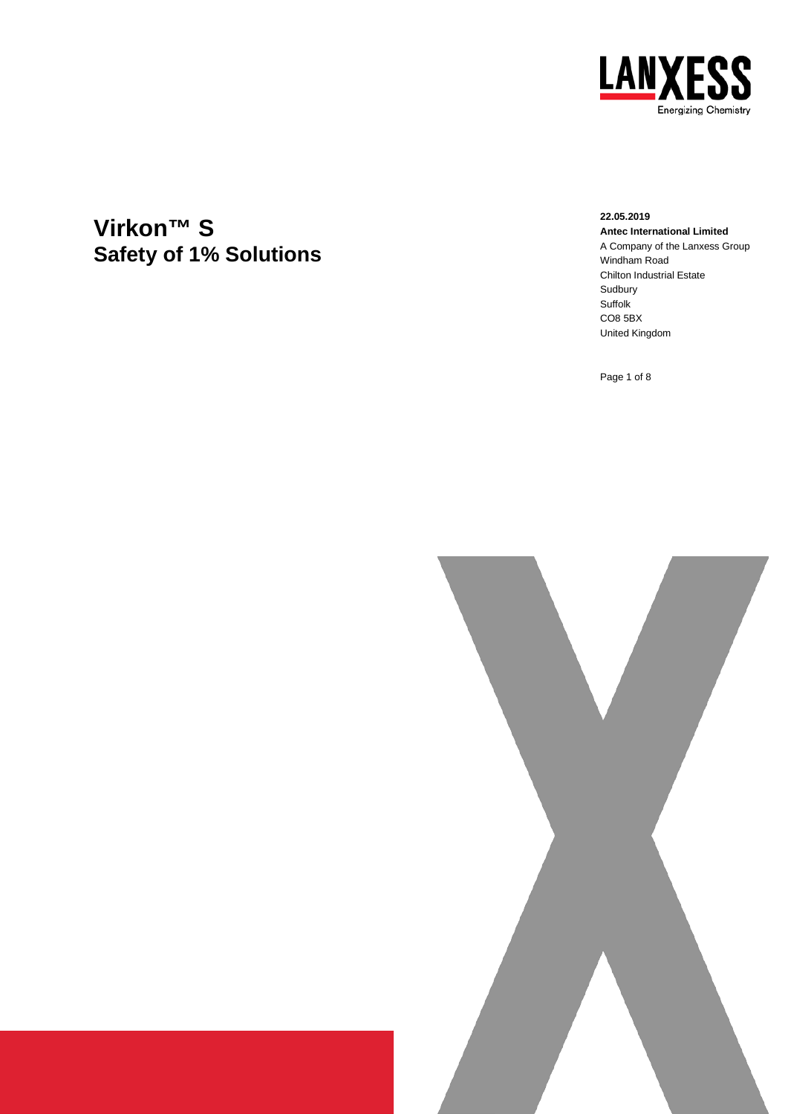

# **Virkon™ S Safety of 1% Solutions**

**22.05.2019 Antec International Limited** A Company of the Lanxess Group Windham Road Chilton Industrial Estate Sudbury Suffolk CO8 5BX United Kingdom

Page 1 of 8

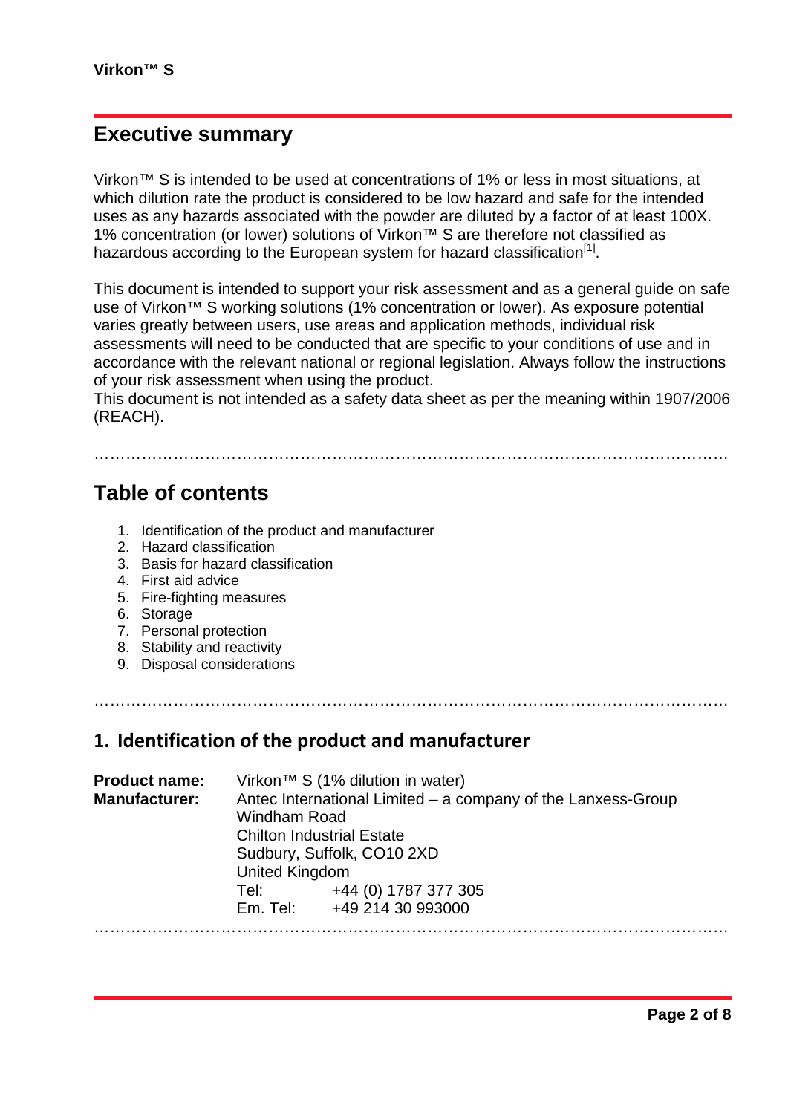### **Executive summary**

Virkon™ S is intended to be used at concentrations of 1% or less in most situations, at which dilution rate the product is considered to be low hazard and safe for the intended uses as any hazards associated with the powder are diluted by a factor of at least 100X. 1% concentration (or lower) solutions of Virkon™ S are therefore not classified as hazardous according to the European system for hazard classification $<sup>[1]</sup>$ .</sup>

This document is intended to support your risk assessment and as a general guide on safe use of Virkon™ S working solutions (1% concentration or lower). As exposure potential varies greatly between users, use areas and application methods, individual risk assessments will need to be conducted that are specific to your conditions of use and in accordance with the relevant national or regional legislation. Always follow the instructions of your risk assessment when using the product.

This document is not intended as a safety data sheet as per the meaning within 1907/2006 (REACH).

…………………………………………………………………………………………………………

### **Table of contents**

- 1. Identification of the product and manufacturer
- 2. Hazard classification
- 3. Basis for hazard classification
- 4. First aid advice
- 5. Fire-fighting measures
- 6. Storage
- 7. Personal protection
- 8. Stability and reactivity
- 9. Disposal considerations

…………………………………………………………………………………………………………

#### **1. Identification of the product and manufacturer**

| <b>Product name:</b> | Virkon <sup>™</sup> S (1% dilution in water)                                        |                            |  |
|----------------------|-------------------------------------------------------------------------------------|----------------------------|--|
| <b>Manufacturer:</b> | Antec International Limited – a company of the Lanxess-Group<br><b>Windham Road</b> |                            |  |
|                      | <b>Chilton Industrial Estate</b>                                                    |                            |  |
|                      | Sudbury, Suffolk, CO10 2XD                                                          |                            |  |
|                      | United Kingdom                                                                      |                            |  |
|                      | Tel:                                                                                | +44 (0) 1787 377 305       |  |
|                      |                                                                                     | Em. Tel: +49 214 30 993000 |  |
|                      |                                                                                     |                            |  |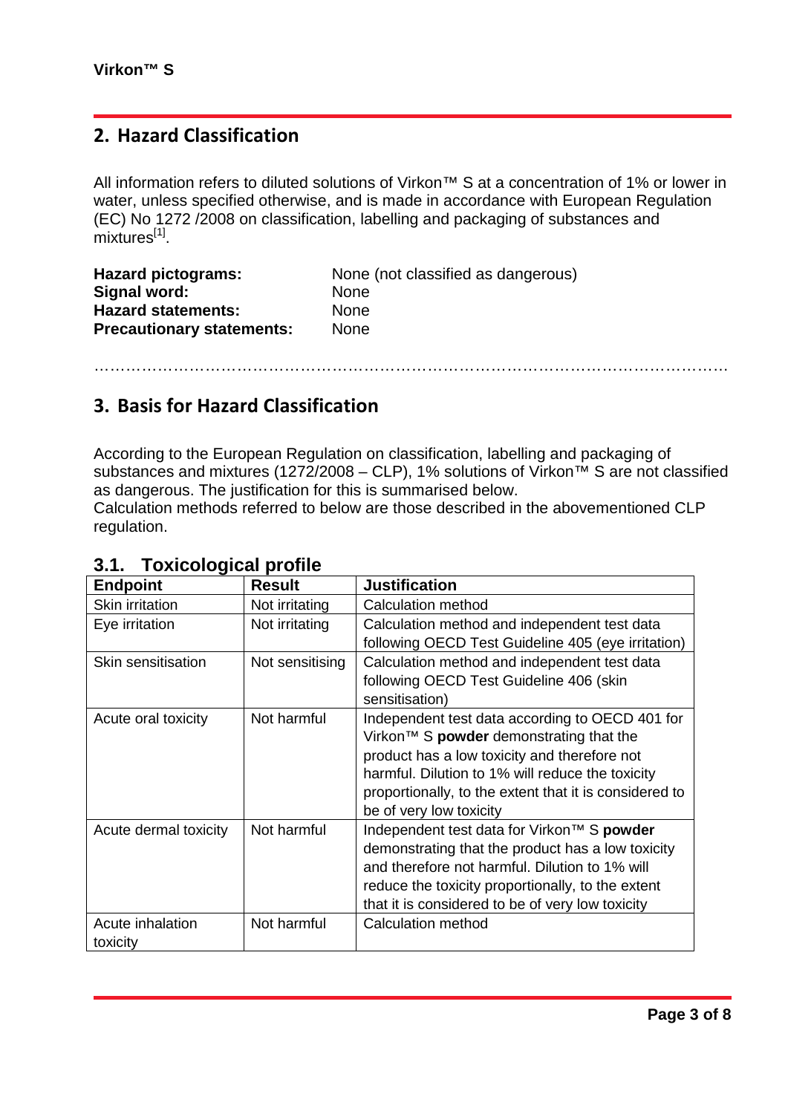### **2. Hazard Classification**

All information refers to diluted solutions of Virkon™ S at a concentration of 1% or lower in water, unless specified otherwise, and is made in accordance with European Regulation (EC) No 1272 /2008 on classification, labelling and packaging of substances and mixtures<sup>[1]</sup>.

| <b>Hazard pictograms:</b>        | None (not classified as dangerous) |
|----------------------------------|------------------------------------|
| Signal word:                     | <b>None</b>                        |
| <b>Hazard statements:</b>        | <b>None</b>                        |
| <b>Precautionary statements:</b> | <b>None</b>                        |

…………………………………………………………………………………………………………

### **3. Basis for Hazard Classification**

According to the European Regulation on classification, labelling and packaging of substances and mixtures (1272/2008 – CLP), 1% solutions of Virkon<sup>TM</sup> S are not classified as dangerous. The justification for this is summarised below. Calculation methods referred to below are those described in the abovementioned CLP regulation.

| <b>Endpoint</b>        | <b>Result</b>   | <b>Justification</b>                                   |
|------------------------|-----------------|--------------------------------------------------------|
| <b>Skin irritation</b> | Not irritating  | <b>Calculation method</b>                              |
| Eye irritation         | Not irritating  | Calculation method and independent test data           |
|                        |                 | following OECD Test Guideline 405 (eye irritation)     |
| Skin sensitisation     | Not sensitising | Calculation method and independent test data           |
|                        |                 | following OECD Test Guideline 406 (skin                |
|                        |                 | sensitisation)                                         |
| Acute oral toxicity    | Not harmful     | Independent test data according to OECD 401 for        |
|                        |                 | Virkon™ S powder demonstrating that the                |
|                        |                 | product has a low toxicity and therefore not           |
|                        |                 | harmful. Dilution to 1% will reduce the toxicity       |
|                        |                 | proportionally, to the extent that it is considered to |
|                        |                 | be of very low toxicity                                |
| Acute dermal toxicity  | Not harmful     | Independent test data for Virkon™ S powder             |
|                        |                 | demonstrating that the product has a low toxicity      |
|                        |                 | and therefore not harmful. Dilution to 1% will         |
|                        |                 | reduce the toxicity proportionally, to the extent      |
|                        |                 | that it is considered to be of very low toxicity       |
| Acute inhalation       | Not harmful     | Calculation method                                     |
| toxicity               |                 |                                                        |

#### **3.1. Toxicological profile**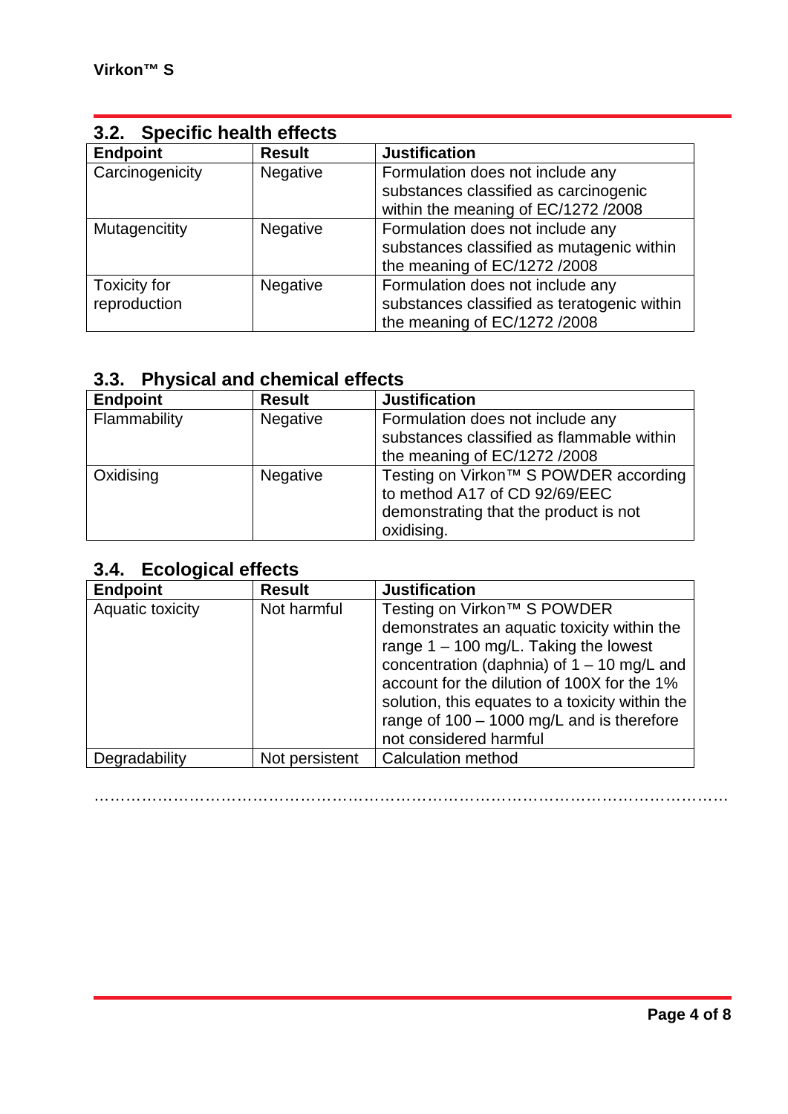| 3.2. Specific health effects |                 |                                                                               |
|------------------------------|-----------------|-------------------------------------------------------------------------------|
| <b>Endpoint</b>              | <b>Result</b>   | <b>Justification</b>                                                          |
| Carcinogenicity              | Negative        | Formulation does not include any<br>substances classified as carcinogenic     |
|                              |                 | within the meaning of EC/1272 /2008                                           |
| Mutagencitity                | Negative        | Formulation does not include any<br>substances classified as mutagenic within |
|                              |                 | the meaning of EC/1272 /2008                                                  |
| <b>Toxicity for</b>          | <b>Negative</b> | Formulation does not include any                                              |
| reproduction                 |                 | substances classified as teratogenic within<br>the meaning of EC/1272 /2008   |

### **3.3. Physical and chemical effects**

| <b>Endpoint</b> | <b>Result</b>   | <b>Justification</b>                                                                                                          |
|-----------------|-----------------|-------------------------------------------------------------------------------------------------------------------------------|
| Flammability    | <b>Negative</b> | Formulation does not include any<br>substances classified as flammable within<br>the meaning of EC/1272 /2008                 |
| Oxidising       | <b>Negative</b> | Testing on Virkon™ S POWDER according<br>to method A17 of CD 92/69/EEC<br>demonstrating that the product is not<br>oxidising. |

## **3.4. Ecological effects**

| <b>Endpoint</b>  | <b>Result</b>  | <b>Justification</b>                                                                                                                                                                                                                                                                                                                                         |
|------------------|----------------|--------------------------------------------------------------------------------------------------------------------------------------------------------------------------------------------------------------------------------------------------------------------------------------------------------------------------------------------------------------|
| Aquatic toxicity | Not harmful    | Testing on Virkon <sup>™</sup> S POWDER<br>demonstrates an aquatic toxicity within the<br>range $1 - 100$ mg/L. Taking the lowest<br>concentration (daphnia) of $1 - 10$ mg/L and<br>account for the dilution of 100X for the 1%<br>solution, this equates to a toxicity within the<br>range of $100 - 1000$ mg/L and is therefore<br>not considered harmful |
| Degradability    | Not persistent | <b>Calculation method</b>                                                                                                                                                                                                                                                                                                                                    |

…………………………………………………………………………………………………………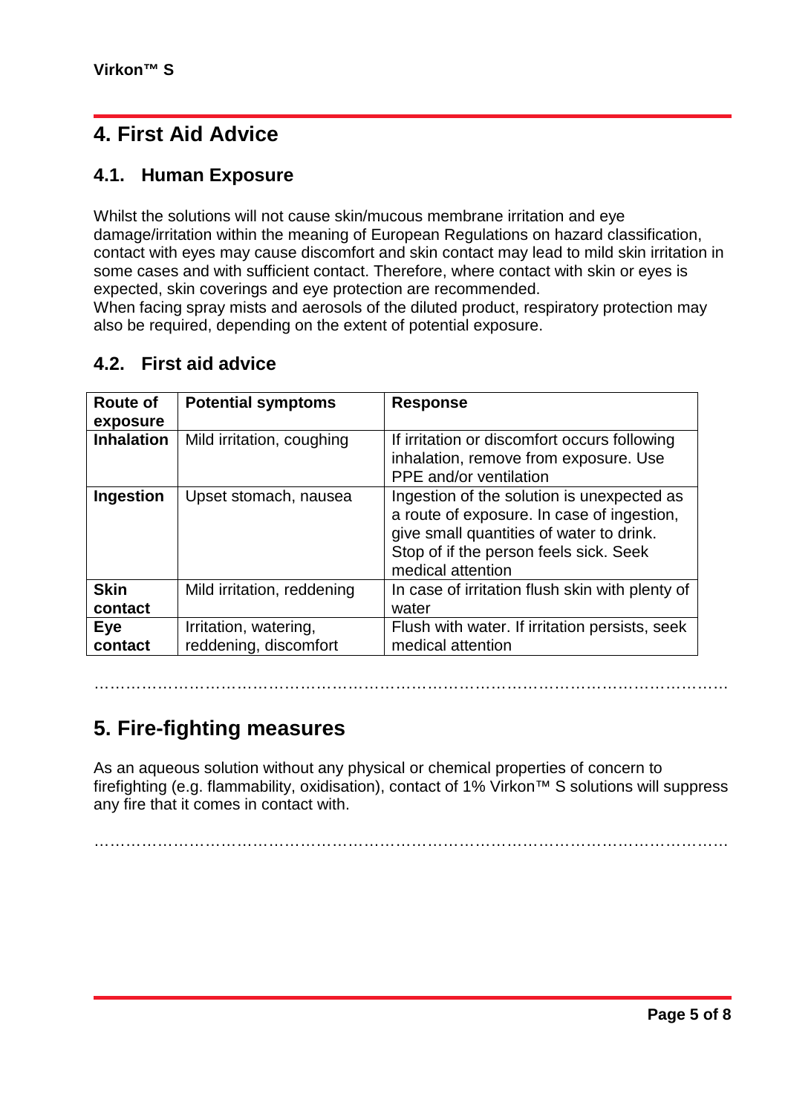## **4. First Aid Advice**

### **4.1. Human Exposure**

Whilst the solutions will not cause skin/mucous membrane irritation and eye damage/irritation within the meaning of European Regulations on hazard classification, contact with eyes may cause discomfort and skin contact may lead to mild skin irritation in some cases and with sufficient contact. Therefore, where contact with skin or eyes is expected, skin coverings and eye protection are recommended.

When facing spray mists and aerosols of the diluted product, respiratory protection may also be required, depending on the extent of potential exposure.

#### **4.2. First aid advice**

| Route of<br>exposure   | <b>Potential symptoms</b>                      | <b>Response</b>                                                                                                                                                                                     |
|------------------------|------------------------------------------------|-----------------------------------------------------------------------------------------------------------------------------------------------------------------------------------------------------|
| <b>Inhalation</b>      | Mild irritation, coughing                      | If irritation or discomfort occurs following<br>inhalation, remove from exposure. Use<br><b>PPE</b> and/or ventilation                                                                              |
| Ingestion              | Upset stomach, nausea                          | Ingestion of the solution is unexpected as<br>a route of exposure. In case of ingestion,<br>give small quantities of water to drink.<br>Stop of if the person feels sick. Seek<br>medical attention |
| <b>Skin</b><br>contact | Mild irritation, reddening                     | In case of irritation flush skin with plenty of<br>water                                                                                                                                            |
| Eye<br>contact         | Irritation, watering,<br>reddening, discomfort | Flush with water. If irritation persists, seek<br>medical attention                                                                                                                                 |

### **5. Fire-fighting measures**

As an aqueous solution without any physical or chemical properties of concern to firefighting (e.g. flammability, oxidisation), contact of 1% Virkon™ S solutions will suppress any fire that it comes in contact with.

…………………………………………………………………………………………………………

…………………………………………………………………………………………………………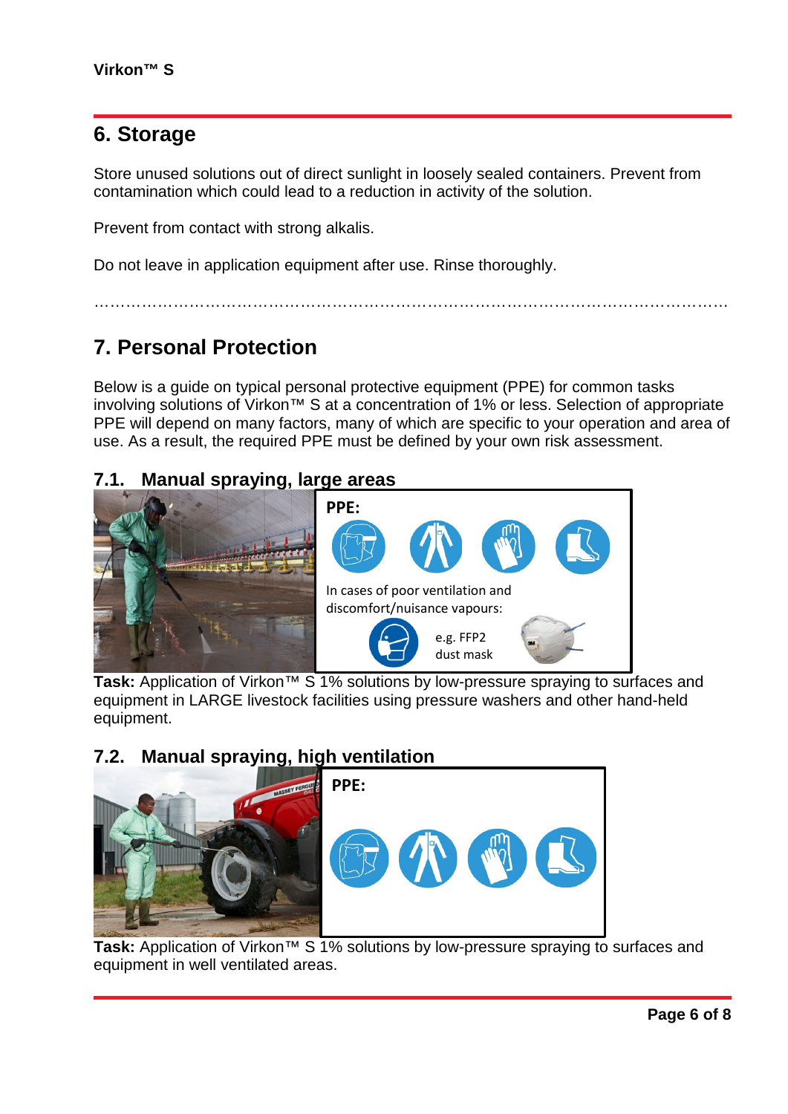## **6. Storage**

Store unused solutions out of direct sunlight in loosely sealed containers. Prevent from contamination which could lead to a reduction in activity of the solution.

Prevent from contact with strong alkalis.

Do not leave in application equipment after use. Rinse thoroughly.

## **7. Personal Protection**

Below is a guide on typical personal protective equipment (PPE) for common tasks involving solutions of Virkon™ S at a concentration of 1% or less. Selection of appropriate PPE will depend on many factors, many of which are specific to your operation and area of use. As a result, the required PPE must be defined by your own risk assessment.

…………………………………………………………………………………………………………

#### **7.1. Manual spraying, large areas**



**Task:** Application of Virkon™ S 1% solutions by low-pressure spraying to surfaces and equipment in LARGE livestock facilities using pressure washers and other hand-held equipment.

### **7.2. Manual spraying, high ventilation**



**Task:** Application of Virkon™ S 1% solutions by low-pressure spraying to surfaces and equipment in well ventilated areas.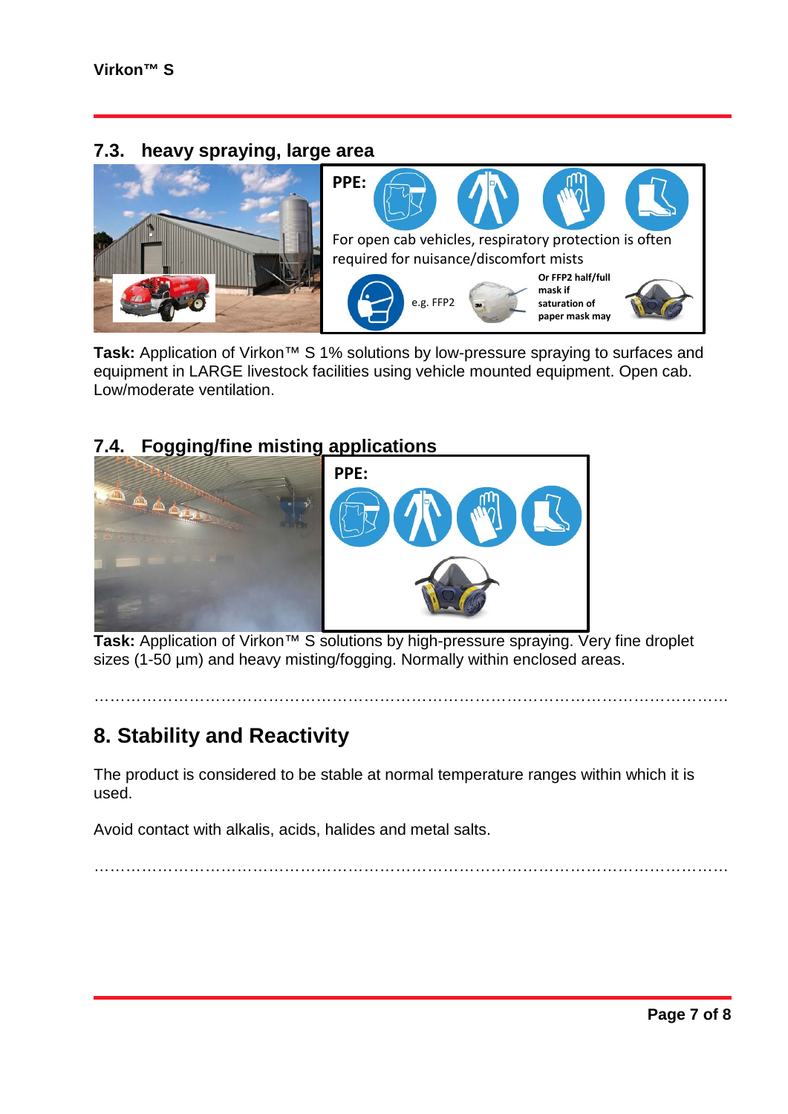#### **7.3. heavy spraying, large area**



**Task:** Application of Virkon™ S 1% solutions by low-pressure spraying to surfaces and equipment in LARGE livestock facilities using vehicle mounted equipment. Open cab. Low/moderate ventilation.

### **7.4. Fogging/fine misting applications**



**Task:** Application of Virkon™ S solutions by high-pressure spraying. Very fine droplet sizes (1-50 µm) and heavy misting/fogging. Normally within enclosed areas.

…………………………………………………………………………………………………………

### **8. Stability and Reactivity**

The product is considered to be stable at normal temperature ranges within which it is used.

Avoid contact with alkalis, acids, halides and metal salts.

…………………………………………………………………………………………………………